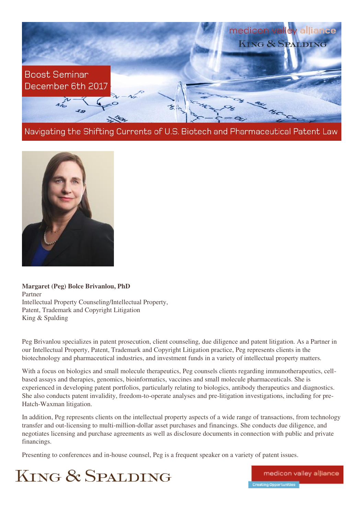

Navigating the Shifting Currents of U.S. Biotech and Pharmaceutical Patent Law



**Margaret (Peg) Bolce Brivanlou, PhD**  Partner Intellectual Property Counseling/Intellectual Property, Patent, Trademark and Copyright Litigation King & Spalding

Peg Brivanlou specializes in patent prosecution, client counseling, due diligence and patent litigation. As a Partner in our Intellectual Property, Patent, Trademark and Copyright Litigation practice, Peg represents clients in the biotechnology and pharmaceutical industries, and investment funds in a variety of intellectual property matters.

With a focus on biologics and small molecule therapeutics, Peg counsels clients regarding immunotherapeutics, cellbased assays and therapies, genomics, bioinformatics, vaccines and small molecule pharmaceuticals. She is experienced in developing patent portfolios, particularly relating to biologics, antibody therapeutics and diagnostics. She also conducts patent invalidity, freedom-to-operate analyses and pre-litigation investigations, including for pre-Hatch-Waxman litigation.

In addition, Peg represents clients on the intellectual property aspects of a wide range of transactions, from technology transfer and out-licensing to multi-million-dollar asset purchases and financings. She conducts due diligence, and negotiates licensing and purchase agreements as well as disclosure documents in connection with public and private financings.

Presenting to conferences and in-house counsel, Peg is a frequent speaker on a variety of patent issues.

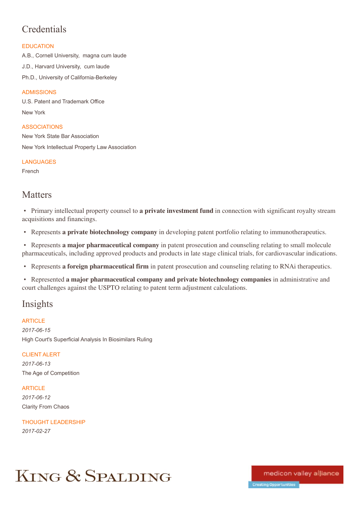# **Credentials**

## **EDUCATION**

A.B., Cornell University, magna cum laude J.D., Harvard University, cum laude Ph.D., University of California-Berkeley

## ADMISSIONS

U.S. Patent and Trademark Office New York

ASSOCIATIONS New York State Bar Association New York Intellectual Property Law Association

**LANGUAGES** 

French

## **Matters**

• Primary intellectual property counsel to **a private investment fund** in connection with significant royalty stream acquisitions and financings.

• Represents **a private biotechnology company** in developing patent portfolio relating to immunotherapeutics.

• Represents **a major pharmaceutical company** in patent prosecution and counseling relating to small molecule pharmaceuticals, including approved products and products in late stage clinical trials, for cardiovascular indications.

• Represents **a foreign pharmaceutical firm** in patent prosecution and counseling relating to RNAi therapeutics.

• Represented **a major pharmaceutical company and private biotechnology companies** in administrative and court challenges against the USPTO relating to patent term adjustment calculations.

# Insights

**ARTICLE** *2017-06-15*

High Court's Superficial Analysis In Biosimilars Ruling

CLIENT ALERT *2017-06-13* The Age of Competition

**ARTICLE** 

*2017-06-12* Clarity From Chaos

THOUGHT LEADERSHIP *2017-02-27*

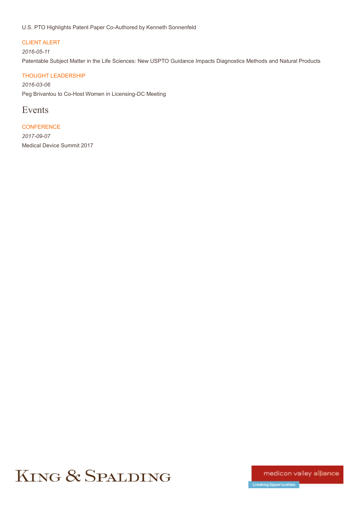## U.S. PTO Highlights Patent Paper Co-Authored by Kenneth Sonnenfeld

#### CLIENT ALERT

#### *2016-05-11*

Patentable Subject Matter in the Life Sciences: New USPTO Guidance Impacts Diagnostics Methods and Natural Products

## THOUGHT LEADERSHIP

*2016-03-06* Peg Brivanlou to Co-Host Women in Licensing-DC Meeting

## Events

**CONFERENCE** *2017-09-07* Medical Device Summit 2017